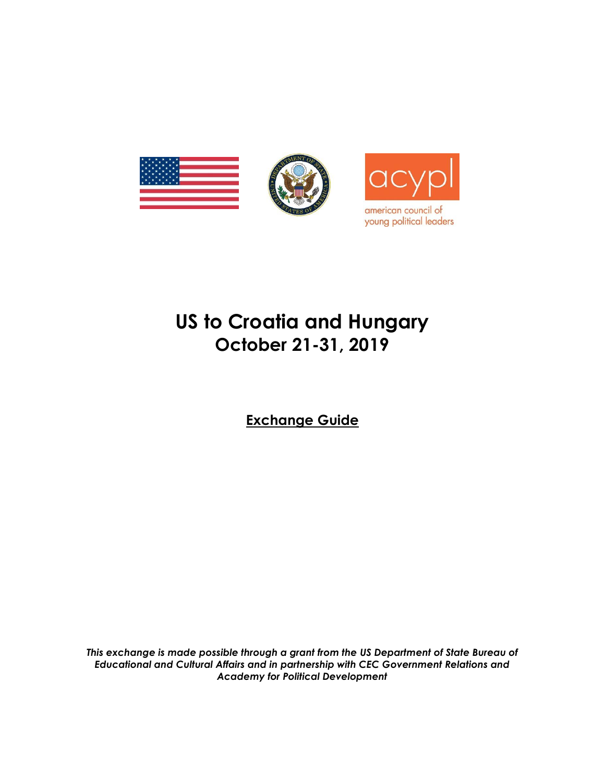

# **US to Croatia and Hungary October 21-31, 2019**

**Exchange Guide**

*This exchange is made possible through a grant from the US Department of State Bureau of Educational and Cultural Affairs and in partnership with CEC Government Relations and Academy for Political Development*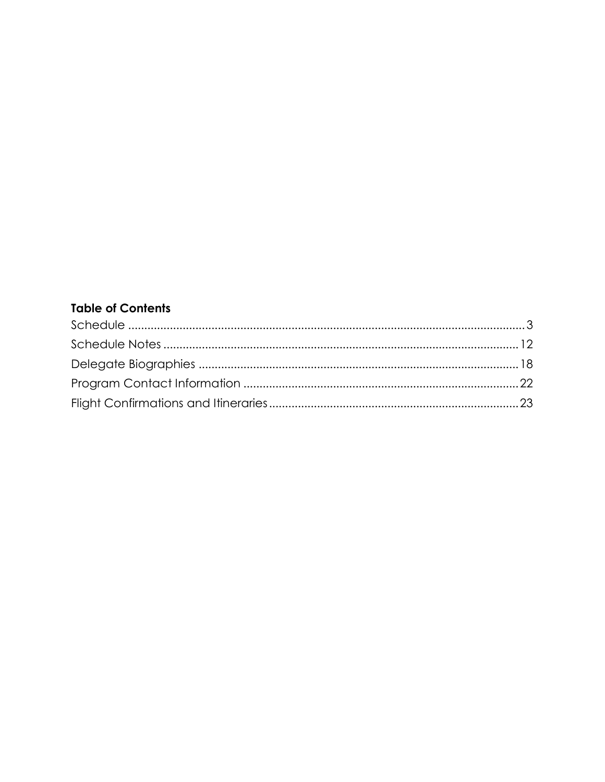# **Table of Contents**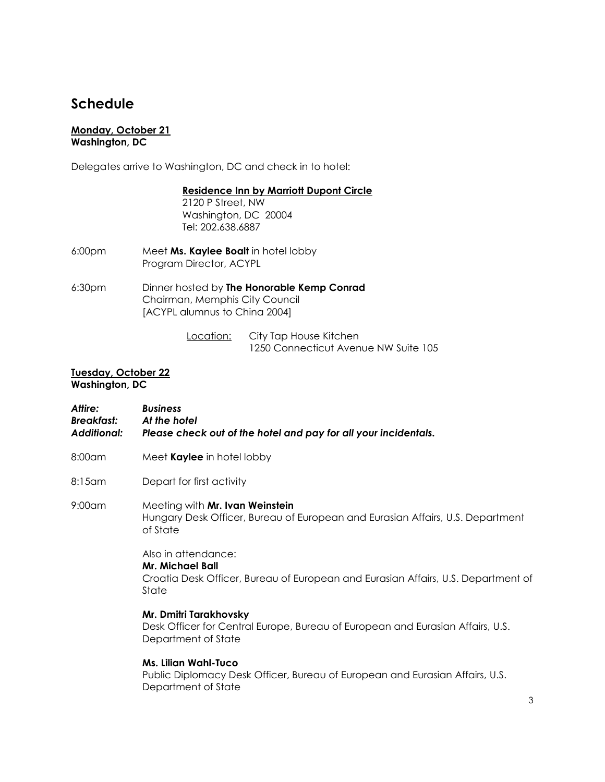# <span id="page-2-0"></span>**Schedule**

#### **Monday, October 21 Washington, DC**

Delegates arrive to Washington, DC and check in to hotel:

#### **Residence Inn by Marriott Dupont Circle**

2120 P Street, NW Washington, DC 20004 Tel: 202.638.6887

- 6:00pm Meet **Ms. Kaylee Boalt** in hotel lobby Program Director, ACYPL
- 6:30pm Dinner hosted by **The Honorable Kemp Conrad** Chairman, Memphis City Council [ACYPL alumnus to China 2004]

Location: City Tap House Kitchen 1250 Connecticut Avenue NW Suite 105

#### **Tuesday, October 22 Washington, DC**

- *Attire: Business Breakfast: At the hotel Additional: Please check out of the hotel and pay for all your incidentals.*
- 8:00am Meet **Kaylee** in hotel lobby
- 8:15am Depart for first activity
- 9:00am Meeting with **Mr. Ivan Weinstein** Hungary Desk Officer, Bureau of European and Eurasian Affairs, U.S. Department of State

Also in attendance: **Mr. Michael Ball**  Croatia Desk Officer, Bureau of European and Eurasian Affairs, U.S. Department of **State** 

**Mr. Dmitri Tarakhovsky** Desk Officer for Central Europe, Bureau of European and Eurasian Affairs, U.S. Department of State

# **Ms. Lilian Wahl-Tuco**

Public Diplomacy Desk Officer, Bureau of European and Eurasian Affairs, U.S. Department of State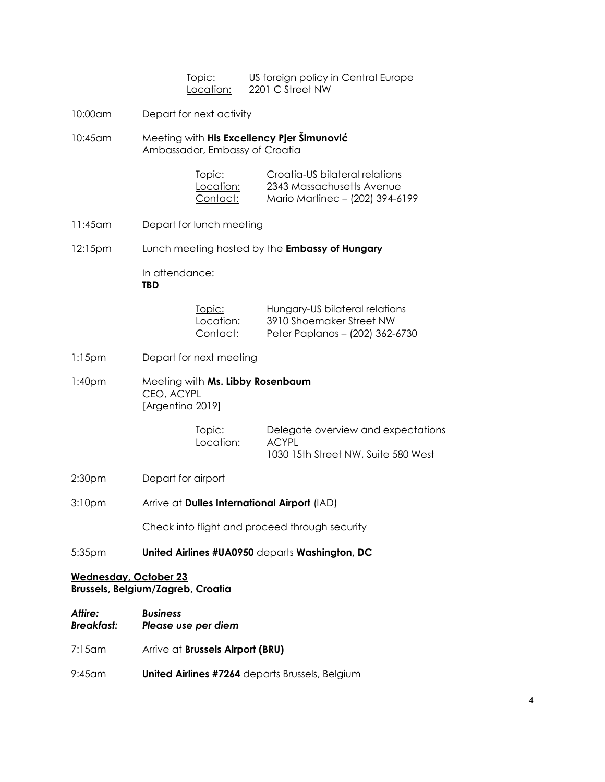| Topic:    | US foreign policy in Central Europe |
|-----------|-------------------------------------|
| Location: | 2201 C Street NW                    |

- 10:00am Depart for next activity
- 10:45am Meeting with **His Excellency Pjer Šimunović** Ambassador, Embassy of Croatia

| Topic:    | Croatia-US bilateral relations  |
|-----------|---------------------------------|
| Location: | 2343 Massachusetts Avenue       |
| Contact:  | Mario Martinec - (202) 394-6199 |

- 11:45am Depart for lunch meeting
- 12:15pm Lunch meeting hosted by the **Embassy of Hungary**

In attendance: **TBD**

| Topic:          | Hungary-US bilateral relations  |
|-----------------|---------------------------------|
| Location:       | 3910 Shoemaker Street NW        |
| <u>Contact:</u> | Peter Paplanos - (202) 362-6730 |

- 1:15pm Depart for next meeting
- 1:40pm Meeting with **Ms. Libby Rosenbaum** CEO, ACYPL [Argentina 2019]

| <u>Topic:</u> | Delegate overview and expectations  |
|---------------|-------------------------------------|
| Location:     | ACYPL                               |
|               | 1030 15th Street NW, Suite 580 West |

- 2:30pm Depart for airport
- 3:10pm Arrive at **Dulles International Airport** (IAD)

Check into flight and proceed through security

5:35pm **United Airlines #UA0950** departs **Washington, DC**

### **Wednesday, October 23 Brussels, Belgium/Zagreb, Croatia**

- *Attire: Business Breakfast: Please use per diem*
- 7:15am Arrive at **Brussels Airport (BRU)**
- 9:45am **United Airlines #7264** departs Brussels, Belgium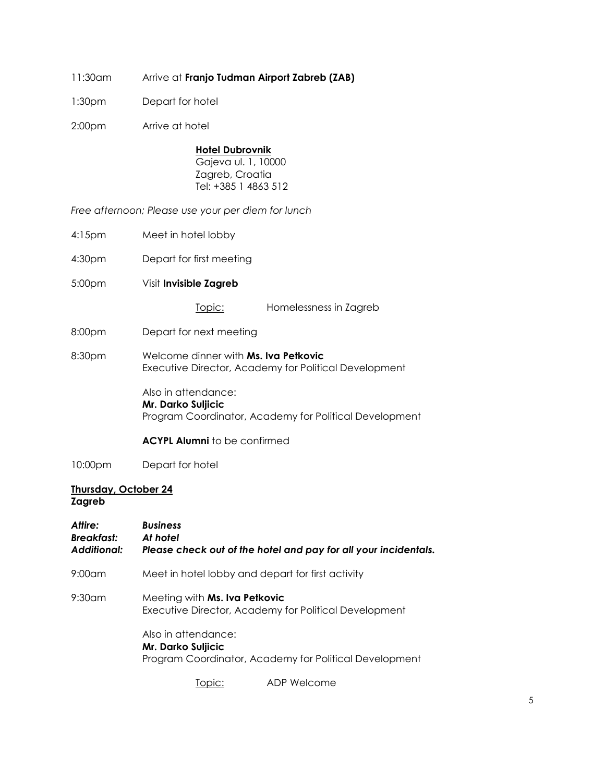- 11:30am Arrive at **Franjo Tudman Airport Zabreb (ZAB)**
- 1:30pm Depart for hotel
- 2:00pm Arrive at hotel

#### **Hotel Dubrovnik**

Gajeva ul. 1, 10000 Zagreb, Croatia Tel: +385 1 4863 512

*Free afternoon; Please use your per diem for lunch* 

- 4:15pm Meet in hotel lobby
- 4:30pm Depart for first meeting
- 5:00pm Visit **Invisible Zagreb**

Topic: Homelessness in Zagreb

- 8:00pm Depart for next meeting
- 8:30pm Welcome dinner with **Ms. Iva Petkovic**  Executive Director, Academy for Political Development

Also in attendance: **Mr. Darko Suljicic** Program Coordinator, Academy for Political Development

#### **ACYPL Alumni** to be confirmed

10:00pm Depart for hotel

#### **Thursday, October 24 Zagreb**

# *Attire: Business Breakfast: At hotel Additional: Please check out of the hotel and pay for all your incidentals.* 9:00am Meet in hotel lobby and depart for first activity 9:30am Meeting with **Ms. Iva Petkovic** Executive Director, Academy for Political Development Also in attendance: **Mr. Darko Suljicic** Program Coordinator, Academy for Political Development

Topic: ADP Welcome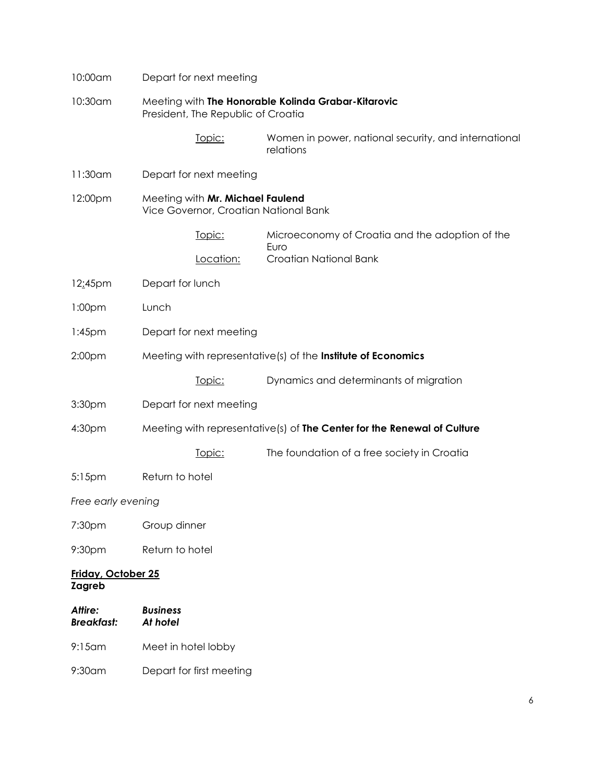| 10:00am                             |                             | Depart for next meeting                                                   |                                                                         |
|-------------------------------------|-----------------------------|---------------------------------------------------------------------------|-------------------------------------------------------------------------|
| 10:30am                             |                             | President, The Republic of Croatia                                        | Meeting with The Honorable Kolinda Grabar-Kitarovic                     |
|                                     |                             | Topic:                                                                    | Women in power, national security, and international<br>relations       |
| 11:30am                             |                             | Depart for next meeting                                                   |                                                                         |
| 12:00pm                             |                             | Meeting with Mr. Michael Faulend<br>Vice Governor, Croatian National Bank |                                                                         |
|                                     |                             | Topic:                                                                    | Microeconomy of Croatia and the adoption of the<br>Euro                 |
|                                     |                             | Location:                                                                 | Croatian National Bank                                                  |
| 12:45pm                             | Depart for lunch            |                                                                           |                                                                         |
| 1:00pm                              | Lunch                       |                                                                           |                                                                         |
| $1:45$ pm                           |                             | Depart for next meeting                                                   |                                                                         |
| 2:00pm                              |                             |                                                                           | Meeting with representative(s) of the Institute of Economics            |
|                                     |                             | Topic:                                                                    | Dynamics and determinants of migration                                  |
| 3:30pm                              |                             | Depart for next meeting                                                   |                                                                         |
| 4:30pm                              |                             |                                                                           | Meeting with representative(s) of The Center for the Renewal of Culture |
|                                     |                             | Topic:                                                                    | The foundation of a free society in Croatia                             |
| 5:15pm                              | Return to hotel             |                                                                           |                                                                         |
| Free early evening                  |                             |                                                                           |                                                                         |
| 7:30pm                              | Group dinner                |                                                                           |                                                                         |
| 9:30pm                              | Return to hotel             |                                                                           |                                                                         |
| Friday, October 25<br><b>Zagreb</b> |                             |                                                                           |                                                                         |
| Attire:<br><b>Breakfast:</b>        | <b>Business</b><br>At hotel |                                                                           |                                                                         |
| $9:15$ am                           | Meet in hotel lobby         |                                                                           |                                                                         |
| 9:30am                              |                             | Depart for first meeting                                                  |                                                                         |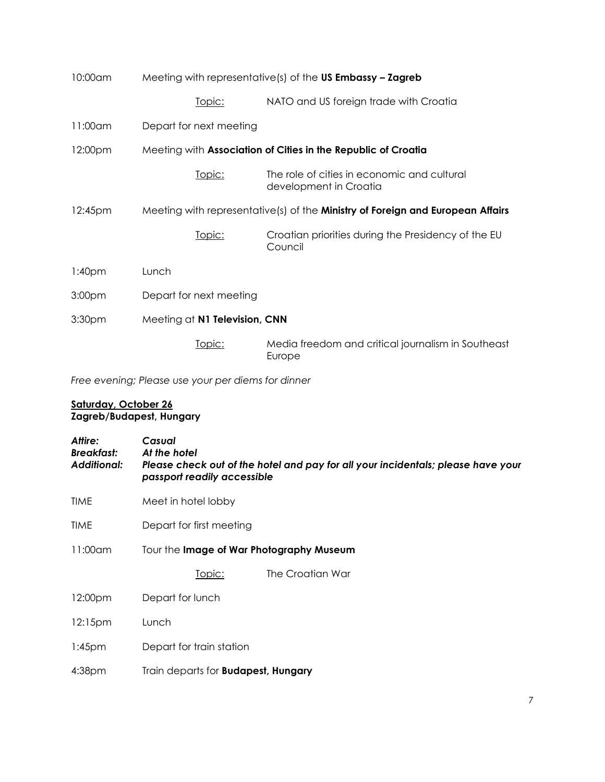| 10:00am            | Meeting with representative(s) of the US Embassy - Zagreb     |                                                                                       |
|--------------------|---------------------------------------------------------------|---------------------------------------------------------------------------------------|
|                    | <u>Topic:</u>                                                 | NATO and US foreign trade with Croatia                                                |
| 11:00am            | Depart for next meeting                                       |                                                                                       |
| 12:00pm            | Meeting with Association of Cities in the Republic of Croatia |                                                                                       |
|                    | Topic:                                                        | The role of cities in economic and cultural<br>development in Croatia                 |
| 12:45pm            |                                                               | Meeting with representative(s) of the <b>Ministry of Foreign and European Affairs</b> |
|                    | Topic:                                                        | Croatian priorities during the Presidency of the EU<br>Council                        |
| 1:40 <sub>pm</sub> | Lunch                                                         |                                                                                       |
| 3:00 <sub>pm</sub> | Depart for next meeting                                       |                                                                                       |
| 3:30 <sub>pm</sub> | Meeting at N1 Television, CNN                                 |                                                                                       |
|                    | Topic:                                                        | Media freedom and critical journalism in Southeast<br>Europe                          |

*Free evening; Please use your per diems for dinner* 

#### **Saturday, October 26 Zagreb/Budapest, Hungary**

| Attire:<br><b>Breakfast:</b><br><b>Additional:</b> | Casual<br>At the hotel<br>Please check out of the hotel and pay for all your incidentals; please have your<br>passport readily accessible |  |  |
|----------------------------------------------------|-------------------------------------------------------------------------------------------------------------------------------------------|--|--|
| <b>TIME</b>                                        | Meet in hotel lobby                                                                                                                       |  |  |
| <b>TIME</b>                                        | Depart for first meeting                                                                                                                  |  |  |
| 11:00am                                            | Tour the Image of War Photography Museum                                                                                                  |  |  |
|                                                    | The Croatian War<br><u> Topic:</u>                                                                                                        |  |  |
| 12:00pm                                            | Depart for lunch                                                                                                                          |  |  |
| 12:15 <sub>pm</sub>                                | Lunch                                                                                                                                     |  |  |
| $1:45$ pm                                          | Depart for train station                                                                                                                  |  |  |
| 4:38 <sub>pm</sub>                                 | Train departs for <b>Budapest</b> , <b>Hungary</b>                                                                                        |  |  |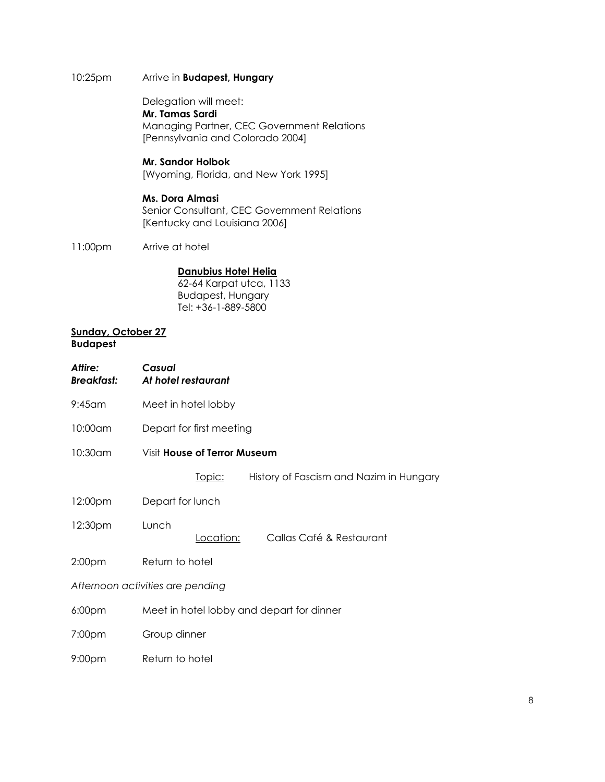# 10:25pm Arrive in **Budapest, Hungary**

Delegation will meet:

**Mr. Tamas Sardi**  Managing Partner, CEC Government Relations [Pennsylvania and Colorado 2004]

#### **Mr. Sandor Holbok**

[Wyoming, Florida, and New York 1995]

### **Ms. Dora Almasi**

Senior Consultant, CEC Government Relations [Kentucky and Louisiana 2006]

11:00pm Arrive at hotel

# **Danubius Hotel Helia**

62-64 Karpat utca, 1133 Budapest, Hungary Tel: +36-1-889-5800

#### **Sunday, October 27 Budapest**

| Attire:<br><b>Breakfast:</b> | Casual<br>At hotel restaurant             |           |                                         |  |
|------------------------------|-------------------------------------------|-----------|-----------------------------------------|--|
| $9:45$ am                    | Meet in hotel lobby                       |           |                                         |  |
| 10:00am                      | Depart for first meeting                  |           |                                         |  |
| $10:30$ am                   | Visit <b>House of Terror Museum</b>       |           |                                         |  |
|                              | <u>Topic:</u>                             |           | History of Fascism and Nazim in Hungary |  |
| 12:00pm                      | Depart for lunch                          |           |                                         |  |
| 12:30pm                      | Lunch                                     | Location: | Callas Café & Restaurant                |  |
| 2:00 <sub>pm</sub>           | Return to hotel                           |           |                                         |  |
|                              | Afternoon activities are pending          |           |                                         |  |
| 6:00pm                       | Meet in hotel lobby and depart for dinner |           |                                         |  |
| 7:00pm                       | Group dinner                              |           |                                         |  |
| 9:00 <sub>pm</sub>           | Return to hotel                           |           |                                         |  |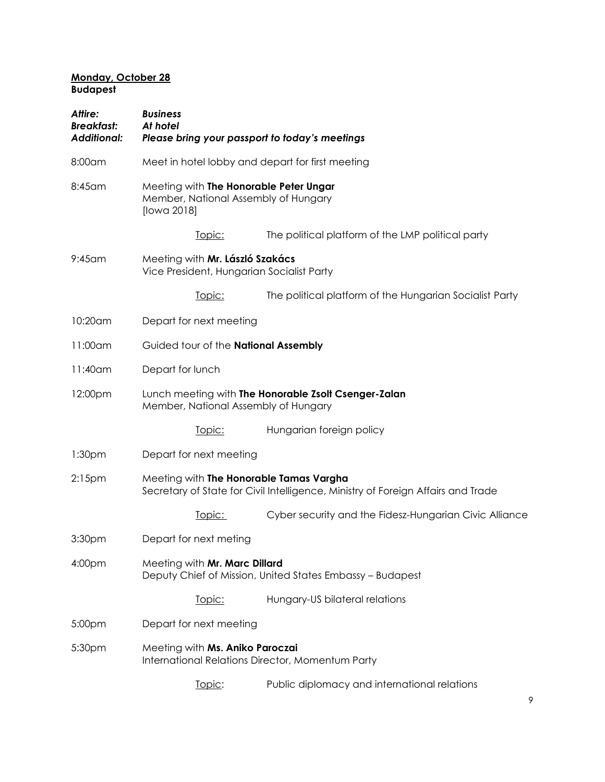#### **Monday, October 28 Budapest**

| Attire:<br><b>Breakfast:</b><br><b>Additional:</b> | <b>Business</b><br>At hotel                                                                   | Please bring your passport to today's meetings                                   |  |
|----------------------------------------------------|-----------------------------------------------------------------------------------------------|----------------------------------------------------------------------------------|--|
| 8:00am                                             | Meet in hotel lobby and depart for first meeting                                              |                                                                                  |  |
| 8:45am                                             | Meeting with The Honorable Peter Ungar<br>Member, National Assembly of Hungary<br>[lowa 2018] |                                                                                  |  |
|                                                    | Topic:                                                                                        | The political platform of the LMP political party                                |  |
| $9:45$ am                                          | Meeting with Mr. László Szakács<br>Vice President, Hungarian Socialist Party                  |                                                                                  |  |
|                                                    | Topic:                                                                                        | The political platform of the Hungarian Socialist Party                          |  |
| 10:20am                                            | Depart for next meeting                                                                       |                                                                                  |  |
| 11:00am                                            | Guided tour of the National Assembly                                                          |                                                                                  |  |
| $11:40$ am                                         | Depart for lunch                                                                              |                                                                                  |  |
| 12:00pm                                            | Member, National Assembly of Hungary                                                          | Lunch meeting with The Honorable Zsolt Csenger-Zalan                             |  |
|                                                    | Topic:                                                                                        | Hungarian foreign policy                                                         |  |
| 1:30 <sub>pm</sub>                                 | Depart for next meeting                                                                       |                                                                                  |  |
| $2:15$ pm                                          | Meeting with The Honorable Tamas Vargha                                                       | Secretary of State for Civil Intelligence, Ministry of Foreign Affairs and Trade |  |
|                                                    | <u>Topic:</u>                                                                                 | Cyber security and the Fidesz-Hungarian Civic Alliance                           |  |
| 3:30 <sub>pm</sub>                                 | Depart for next meting                                                                        |                                                                                  |  |
| 4:00 <sub>pm</sub>                                 | Meeting with Mr. Marc Dillard                                                                 | Deputy Chief of Mission, United States Embassy - Budapest                        |  |
|                                                    | Topic:                                                                                        | Hungary-US bilateral relations                                                   |  |
| 5:00pm                                             | Depart for next meeting                                                                       |                                                                                  |  |
| 5:30pm                                             | Meeting with Ms. Aniko Paroczai                                                               | International Relations Director, Momentum Party                                 |  |
|                                                    | Topic:                                                                                        | Public diplomacy and international relations                                     |  |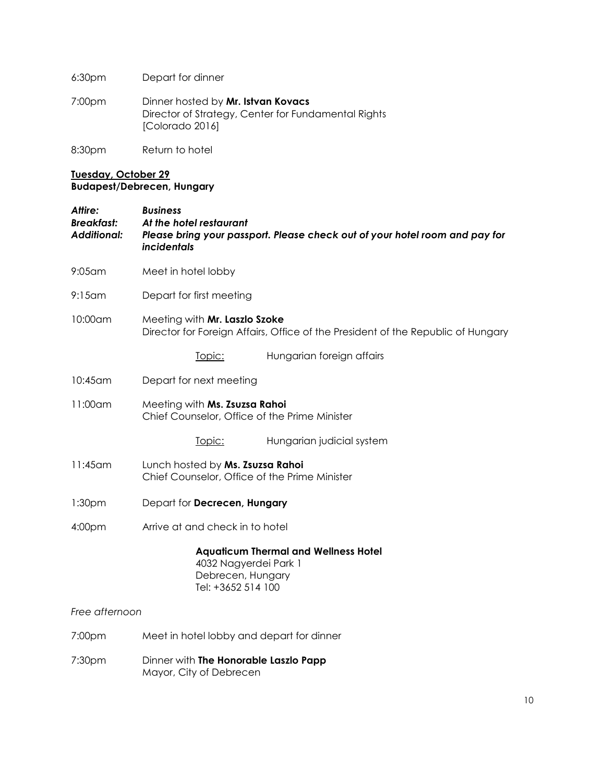6:30pm Depart for dinner

7:00pm Dinner hosted by **Mr. Istvan Kovacs** Director of Strategy, Center for Fundamental Rights [Colorado 2016]

8:30pm Return to hotel

# **Tuesday, October 29 Budapest/Debrecen, Hungary**

| Attire:<br>Breakfast:<br><b>Additional:</b> | <b>Business</b><br>At the hotel restaurant<br>Please bring your passport. Please check out of your hotel room and pay for<br><i>incidentals</i> |
|---------------------------------------------|-------------------------------------------------------------------------------------------------------------------------------------------------|
| $9:05$ am                                   | Meet in hotel lobby                                                                                                                             |
| $9:15$ am                                   | Depart for first meeting                                                                                                                        |
| 10:00am                                     | Meeting with Mr. Laszlo Szoke<br>Director for Foreign Affairs, Office of the President of the Republic of Hungary                               |
|                                             | Hungarian foreign affairs<br>Topic:                                                                                                             |
| $10:45$ am                                  | Depart for next meeting                                                                                                                         |
| 11:00am                                     | Meeting with Ms. Zsuzsa Rahoi<br>Chief Counselor, Office of the Prime Minister                                                                  |
|                                             | Hungarian judicial system<br>Topic:                                                                                                             |
| $11:45$ am                                  | Lunch hosted by Ms. Zsuzsa Rahoi<br>Chief Counselor, Office of the Prime Minister                                                               |
| 1:30 <sub>pm</sub>                          | Depart for Decrecen, Hungary                                                                                                                    |
| 4:00 <sub>pm</sub>                          | Arrive at and check in to hotel                                                                                                                 |
|                                             | <b>Aquaticum Thermal and Wellness Hotel</b><br>4032 Nagyerdei Park 1<br>Debrecen, Hungary<br>Tel: +3652 514 100                                 |
| Free afternoon                              |                                                                                                                                                 |
| 7:00pm                                      | Meet in hotel lobby and depart for dinner                                                                                                       |
| 7:30pm                                      | Dinner with The Honorable Laszlo Papp<br>Mayor, City of Debrecen                                                                                |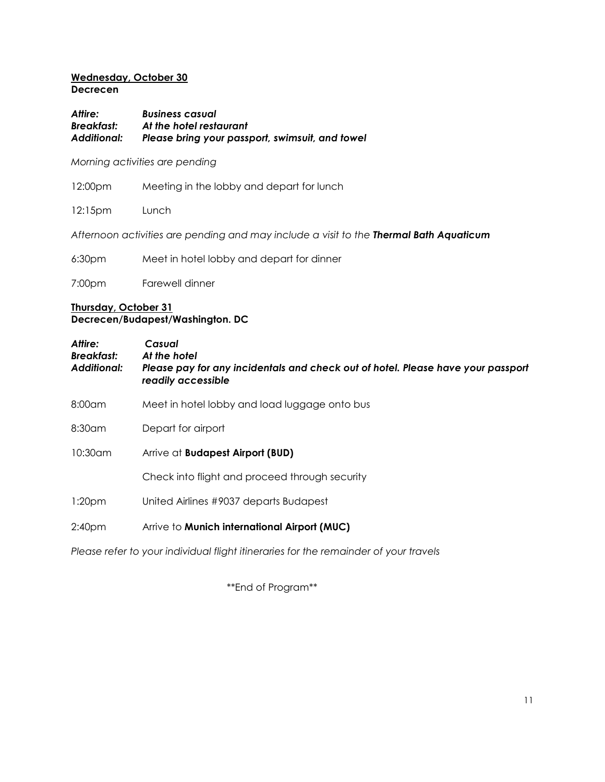# **Wednesday, October 30**

**Decrecen**

*Attire: Business casual Breakfast: At the hotel restaurant Additional: Please bring your passport, swimsuit, and towel*

*Morning activities are pending*

| 12:00pm | Meeting in the lobby and depart for lunch |
|---------|-------------------------------------------|
|---------|-------------------------------------------|

12:15pm Lunch

*Afternoon activities are pending and may include a visit to the Thermal Bath Aquaticum*

| 6:30 <sub>pm</sub> | Meet in hotel lobby and depart for dinner |  |  |  |  |
|--------------------|-------------------------------------------|--|--|--|--|
|                    |                                           |  |  |  |  |

7:00pm Farewell dinner

### **Thursday, October 31 Decrecen/Budapest/Washington. DC**

| Attire:<br><b>Breakfast:</b><br><b>Additional:</b> | Casual<br>At the hotel<br>Please pay for any incidentals and check out of hotel. Please have your passport<br>readily accessible |
|----------------------------------------------------|----------------------------------------------------------------------------------------------------------------------------------|
| $8:00$ am                                          | Meet in hotel lobby and load luggage onto bus                                                                                    |
| $8:30$ am                                          | Depart for airport                                                                                                               |
| $10:30$ am                                         | Arrive at <b>Budapest Airport (BUD)</b>                                                                                          |
|                                                    | Check into flight and proceed through security                                                                                   |
| 1:20 <sub>pm</sub>                                 | United Airlines #9037 departs Budapest                                                                                           |
| 2:40 <sub>pm</sub>                                 | Arrive to Munich international Airport (MUC)                                                                                     |

*Please refer to your individual flight itineraries for the remainder of your travels*

\*\*End of Program\*\*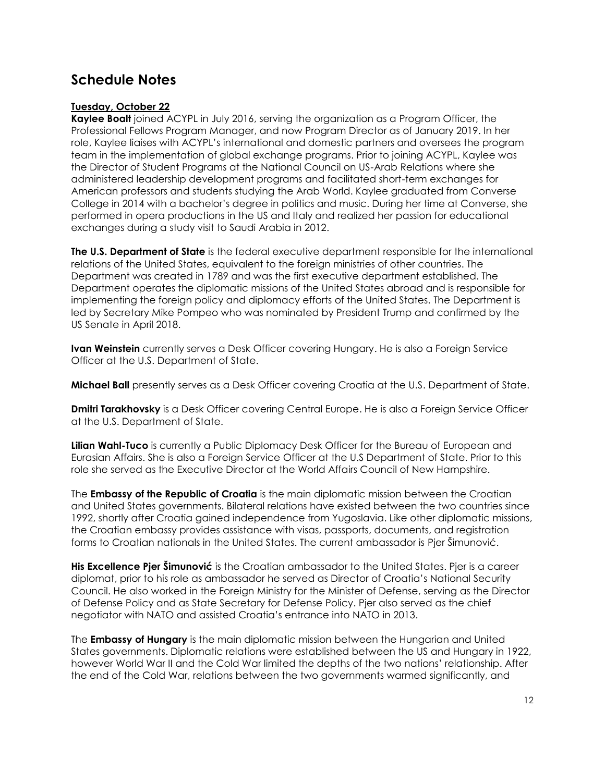# <span id="page-11-0"></span>**Schedule Notes**

# **Tuesday, October 22**

**Kaylee Boalt** joined ACYPL in July 2016, serving the organization as a Program Officer, the Professional Fellows Program Manager, and now Program Director as of January 2019. In her role, Kaylee liaises with ACYPL's international and domestic partners and oversees the program team in the implementation of global exchange programs. Prior to joining ACYPL, Kaylee was the Director of Student Programs at the National Council on US-Arab Relations where she administered leadership development programs and facilitated short-term exchanges for American professors and students studying the Arab World. Kaylee graduated from Converse College in 2014 with a bachelor's degree in politics and music. During her time at Converse, she performed in opera productions in the US and Italy and realized her passion for educational exchanges during a study visit to Saudi Arabia in 2012.

**The U.S. Department of State** is the federal executive department responsible for the international relations of the United States, equivalent to the foreign ministries of other countries. The Department was created in 1789 and was the first executive department established. The Department operates the diplomatic missions of the United States abroad and is responsible for implementing the foreign policy and diplomacy efforts of the United States. The Department is led by Secretary Mike Pompeo who was nominated by President Trump and confirmed by the US Senate in April 2018.

**Ivan Weinstein** currently serves a Desk Officer covering Hungary. He is also a Foreign Service Officer at the U.S. Department of State.

**Michael Ball** presently serves as a Desk Officer covering Croatia at the U.S. Department of State.

**Dmitri Tarakhovsky** is a Desk Officer covering Central Europe. He is also a Foreign Service Officer at the U.S. Department of State.

**Lilian Wahl-Tuco** is currently a Public Diplomacy Desk Officer for the Bureau of European and Eurasian Affairs. She is also a Foreign Service Officer at the U.S Department of State. Prior to this role she served as the Executive Director at the World Affairs Council of New Hampshire.

The **Embassy of the Republic of Croatia** is the main diplomatic mission between the Croatian and United States governments. Bilateral relations have existed between the two countries since 1992, shortly after Croatia gained independence from Yugoslavia. Like other diplomatic missions, the Croatian embassy provides assistance with visas, passports, documents, and registration forms to Croatian nationals in the United States. The current ambassador is Pjer Šimunović.

**His Excellence Pjer Šimunović** is the Croatian ambassador to the United States. Pjer is a career diplomat, prior to his role as ambassador he served as Director of Croatia's National Security Council. He also worked in the Foreign Ministry for the Minister of Defense, serving as the Director of Defense Policy and as State Secretary for Defense Policy. Pjer also served as the chief negotiator with NATO and assisted Croatia's entrance into NATO in 2013.

The **Embassy of Hungary** is the main diplomatic mission between the Hungarian and United States governments. Diplomatic relations were established between the US and Hungary in 1922, however World War II and the Cold War limited the depths of the two nations' relationship. After the end of the Cold War, relations between the two governments warmed significantly, and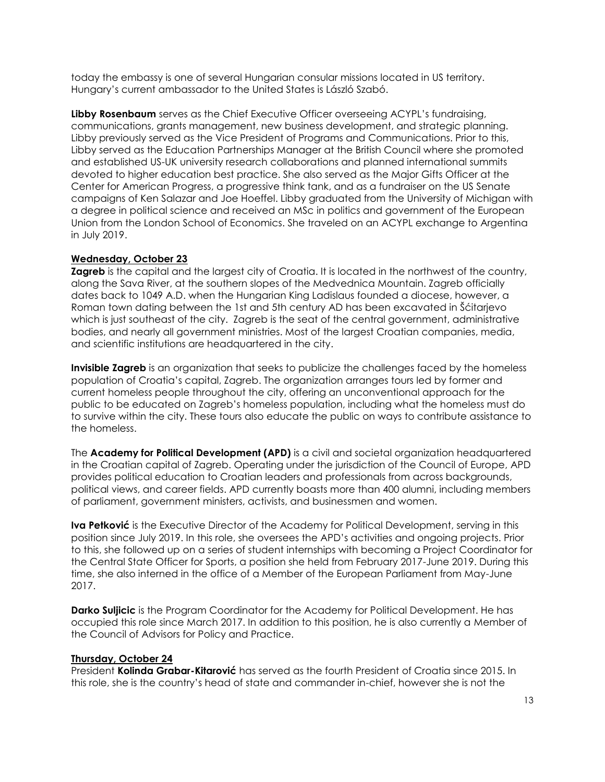today the embassy is one of several Hungarian consular missions located in US territory. Hungary's current ambassador to the United States is László Szabó.

**Libby Rosenbaum** serves as the Chief Executive Officer overseeing ACYPL's fundraising, communications, grants management, new business development, and strategic planning. Libby previously served as the Vice President of Programs and Communications. Prior to this, Libby served as the Education Partnerships Manager at the British Council where she promoted and established US-UK university research collaborations and planned international summits devoted to higher education best practice. She also served as the Major Gifts Officer at the Center for American Progress, a progressive think tank, and as a fundraiser on the US Senate campaigns of Ken Salazar and Joe Hoeffel. Libby graduated from the University of Michigan with a degree in political science and received an MSc in politics and government of the European Union from the London School of Economics. She traveled on an ACYPL exchange to Argentina in July 2019.

### **Wednesday, October 23**

**Zagreb** is the capital and the largest city of Croatia. It is located in the northwest of the country, along the Sava River, at the southern slopes of the Medvednica Mountain. Zagreb officially dates back to 1049 A.D. when the Hungarian King Ladislaus founded a diocese, however, a Roman town dating between the 1st and 5th century AD has been excavated in Šćitarjevo which is just southeast of the city. Zagreb is the seat of the central government, administrative bodies, and nearly all government ministries. Most of the largest Croatian companies, media, and scientific institutions are headquartered in the city.

**Invisible Zagreb** is an organization that seeks to publicize the challenges faced by the homeless population of Croatia's capital, Zagreb. The organization arranges tours led by former and current homeless people throughout the city, offering an unconventional approach for the public to be educated on Zagreb's homeless population, including what the homeless must do to survive within the city. These tours also educate the public on ways to contribute assistance to the homeless.

The **Academy for Political Development (APD)** is a civil and societal organization headquartered in the Croatian capital of Zagreb. Operating under the jurisdiction of the Council of Europe, APD provides political education to Croatian leaders and professionals from across backgrounds, political views, and career fields. APD currently boasts more than 400 alumni, including members of parliament, government ministers, activists, and businessmen and women.

**Iva Petković** is the Executive Director of the Academy for Political Development, serving in this position since July 2019. In this role, she oversees the APD's activities and ongoing projects. Prior to this, she followed up on a series of student internships with becoming a Project Coordinator for the Central State Officer for Sports, a position she held from February 2017-June 2019. During this time, she also interned in the office of a Member of the European Parliament from May-June 2017.

**Darko Suljicic** is the Program Coordinator for the Academy for Political Development. He has occupied this role since March 2017. In addition to this position, he is also currently a Member of the Council of Advisors for Policy and Practice.

#### **Thursday, October 24**

President **Kolinda Grabar-Kitarović** has served as the fourth President of Croatia since 2015. In this role, she is the country's head of state and commander in-chief, however she is not the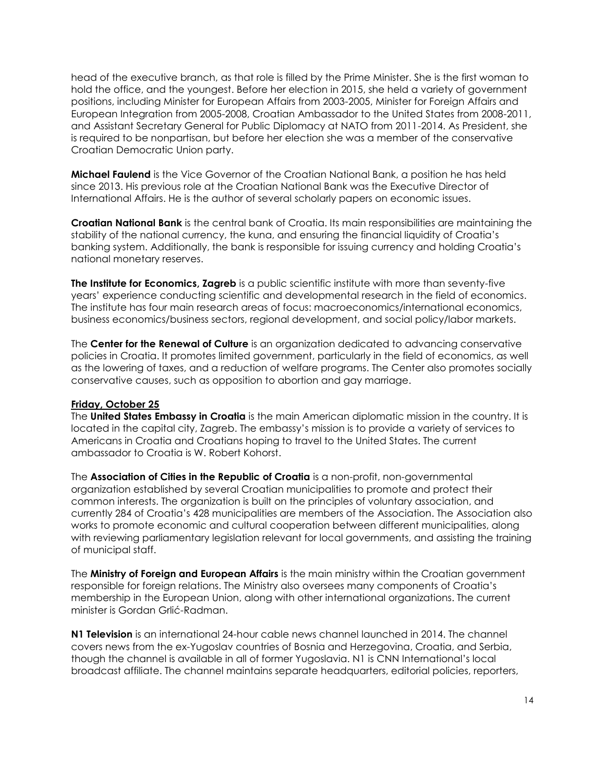head of the executive branch, as that role is filled by the Prime Minister. She is the first woman to hold the office, and the youngest. Before her election in 2015, she held a variety of government positions, including Minister for European Affairs from 2003-2005, Minister for Foreign Affairs and European Integration from 2005-2008, Croatian Ambassador to the United States from 2008-2011, and Assistant Secretary General for Public Diplomacy at NATO from 2011-2014. As President, she is required to be nonpartisan, but before her election she was a member of the conservative Croatian Democratic Union party.

**Michael Faulend** is the Vice Governor of the Croatian National Bank, a position he has held since 2013. His previous role at the Croatian National Bank was the Executive Director of International Affairs. He is the author of several scholarly papers on economic issues.

**Croatian National Bank** is the central bank of Croatia. Its main responsibilities are maintaining the stability of the national currency, the kuna, and ensuring the financial liquidity of Croatia's banking system. Additionally, the bank is responsible for issuing currency and holding Croatia's national monetary reserves.

**The Institute for Economics, Zagreb** is a public scientific institute with more than seventy-five years' experience conducting scientific and developmental research in the field of economics. The institute has four main research areas of focus: macroeconomics/international economics, business economics/business sectors, regional development, and social policy/labor markets.

The **Center for the Renewal of Culture** is an organization dedicated to advancing conservative policies in Croatia. It promotes limited government, particularly in the field of economics, as well as the lowering of taxes, and a reduction of welfare programs. The Center also promotes socially conservative causes, such as opposition to abortion and gay marriage.

#### **Friday, October 25**

The **United States Embassy in Croatia** is the main American diplomatic mission in the country. It is located in the capital city, Zagreb. The embassy's mission is to provide a variety of services to Americans in Croatia and Croatians hoping to travel to the United States. The current ambassador to Croatia is W. Robert Kohorst.

The **Association of Cities in the Republic of Croatia** is a non-profit, non-governmental organization established by several Croatian municipalities to promote and protect their common interests. The organization is built on the principles of voluntary association, and currently 284 of Croatia's 428 municipalities are members of the Association. The Association also works to promote economic and cultural cooperation between different municipalities, along with reviewing parliamentary legislation relevant for local governments, and assisting the training of municipal staff.

The **Ministry of Foreign and European Affairs** is the main ministry within the Croatian government responsible for foreign relations. The Ministry also oversees many components of Croatia's membership in the European Union, along with other international organizations. The current minister is Gordan Grlić-Radman.

**N1 Television** is an international 24-hour cable news channel launched in 2014. The channel covers news from the ex-Yugoslav countries of Bosnia and Herzegovina, Croatia, and Serbia, though the channel is available in all of former Yugoslavia. N1 is CNN International's local broadcast affiliate. The channel maintains separate headquarters, editorial policies, reporters,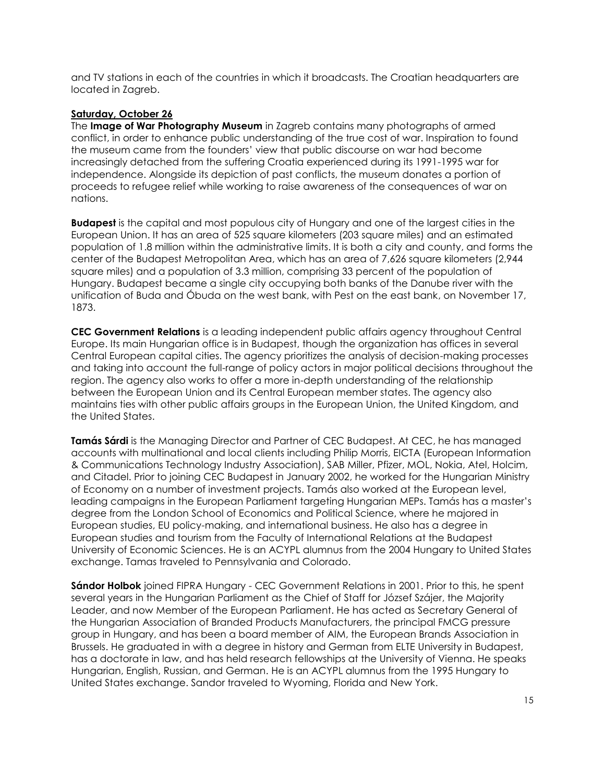and TV stations in each of the countries in which it broadcasts. The Croatian headquarters are located in Zagreb.

#### **Saturday, October 26**

The **Image of War Photography Museum** in Zagreb contains many photographs of armed conflict, in order to enhance public understanding of the true cost of war. Inspiration to found the museum came from the founders' view that public discourse on war had become increasingly detached from the suffering Croatia experienced during its 1991-1995 war for independence. Alongside its depiction of past conflicts, the museum donates a portion of proceeds to refugee relief while working to raise awareness of the consequences of war on nations.

**Budapest** is the capital and most populous city of Hungary and one of the largest cities in the European Union. It has an area of 525 square kilometers (203 square miles) and an estimated population of 1.8 million within the administrative limits. It is both a city and county, and forms the center of the Budapest Metropolitan Area, which has an area of 7,626 square kilometers (2,944 square miles) and a population of 3.3 million, comprising 33 percent of the population of Hungary. Budapest became a single city occupying both banks of the Danube river with the unification of Buda and Óbuda on the west bank, with Pest on the east bank, on November 17, 1873.

**CEC Government Relations** is a leading independent public affairs agency throughout Central Europe. Its main Hungarian office is in Budapest, though the organization has offices in several Central European capital cities. The agency prioritizes the analysis of decision-making processes and taking into account the full-range of policy actors in major political decisions throughout the region. The agency also works to offer a more in-depth understanding of the relationship between the European Union and its Central European member states. The agency also maintains ties with other public affairs groups in the European Union, the United Kingdom, and the United States.

**Tamás Sárdi** is the Managing Director and Partner of CEC Budapest. At CEC, he has managed accounts with multinational and local clients including Philip Morris, EICTA (European Information & Communications Technology Industry Association), SAB Miller, Pfizer, MOL, Nokia, Atel, Holcim, and Citadel. Prior to joining CEC Budapest in January 2002, he worked for the Hungarian Ministry of Economy on a number of investment projects. Tamás also worked at the European level, leading campaigns in the European Parliament targeting Hungarian MEPs. Tamás has a master's degree from the London School of Economics and Political Science, where he majored in European studies, EU policy-making, and international business. He also has a degree in European studies and tourism from the Faculty of International Relations at the Budapest University of Economic Sciences. He is an ACYPL alumnus from the 2004 Hungary to United States exchange. Tamas traveled to Pennsylvania and Colorado.

**Sándor Holbok** joined FIPRA Hungary - CEC Government Relations in 2001. Prior to this, he spent several years in the Hungarian Parliament as the Chief of Staff for József Szájer, the Majority Leader, and now Member of the European Parliament. He has acted as Secretary General of the Hungarian Association of Branded Products Manufacturers, the principal FMCG pressure group in Hungary, and has been a board member of AIM, the European Brands Association in Brussels. He graduated in with a degree in history and German from ELTE University in Budapest, has a doctorate in law, and has held research fellowships at the University of Vienna. He speaks Hungarian, English, Russian, and German. He is an ACYPL alumnus from the 1995 Hungary to United States exchange. Sandor traveled to Wyoming, Florida and New York.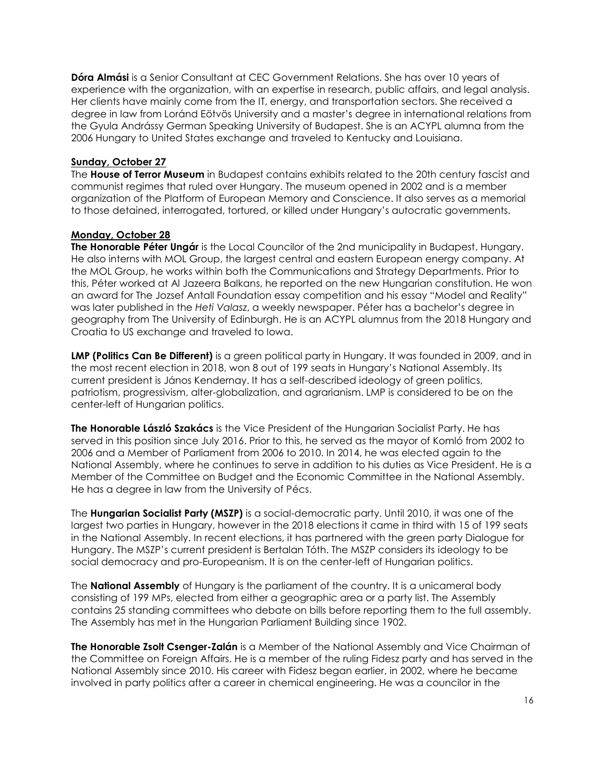**Dóra Almási** is a Senior Consultant at CEC Government Relations. She has over 10 years of experience with the organization, with an expertise in research, public affairs, and legal analysis. Her clients have mainly come from the IT, energy, and transportation sectors. She received a degree in law from Loránd Eötvös University and a master's degree in international relations from the Gyula Andrássy German Speaking University of Budapest. She is an ACYPL alumna from the 2006 Hungary to United States exchange and traveled to Kentucky and Louisiana.

# **Sunday, October 27**

The **House of Terror Museum** in Budapest contains exhibits related to the 20th century fascist and communist regimes that ruled over Hungary. The museum opened in 2002 and is a member organization of the Platform of European Memory and Conscience. It also serves as a memorial to those detained, interrogated, tortured, or killed under Hungary's autocratic governments.

### **Monday, October 28**

**The Honorable Péter Ungár** is the Local Councilor of the 2nd municipality in Budapest, Hungary. He also interns with MOL Group, the largest central and eastern European energy company. At the MOL Group, he works within both the Communications and Strategy Departments. Prior to this, Péter worked at Al Jazeera Balkans, he reported on the new Hungarian constitution. He won an award for The Jozsef Antall Foundation essay competition and his essay "Model and Reality" was later published in the *Heti Valasz*, a weekly newspaper. Péter has a bachelor's degree in geography from The University of Edinburgh. He is an ACYPL alumnus from the 2018 Hungary and Croatia to US exchange and traveled to Iowa.

**LMP (Politics Can Be Different)** is a green political party in Hungary. It was founded in 2009, and in the most recent election in 2018, won 8 out of 199 seats in Hungary's National Assembly. Its current president is János Kendernay. It has a self-described ideology of green politics, patriotism, progressivism, alter-globalization, and agrarianism. LMP is considered to be on the center-left of Hungarian politics.

**The Honorable László Szakács** is the Vice President of the Hungarian Socialist Party. He has served in this position since July 2016. Prior to this, he served as the mayor of Komló from 2002 to 2006 and a Member of Parliament from 2006 to 2010. In 2014, he was elected again to the National Assembly, where he continues to serve in addition to his duties as Vice President. He is a Member of the Committee on Budget and the Economic Committee in the National Assembly. He has a degree in law from the University of Pécs.

The **Hungarian Socialist Party (MSZP)** is a social-democratic party. Until 2010, it was one of the largest two parties in Hungary, however in the 2018 elections it came in third with 15 of 199 seats in the National Assembly. In recent elections, it has partnered with the green party Dialogue for Hungary. The MSZP's current president is Bertalan Tóth. The MSZP considers its ideology to be social democracy and pro-Europeanism. It is on the center-left of Hungarian politics.

The **National Assembly** of Hungary is the parliament of the country. It is a unicameral body consisting of 199 MPs, elected from either a geographic area or a party list. The Assembly contains 25 standing committees who debate on bills before reporting them to the full assembly. The Assembly has met in the Hungarian Parliament Building since 1902.

**The Honorable Zsolt Csenger-Zalán** is a Member of the National Assembly and Vice Chairman of the Committee on Foreign Affairs. He is a member of the ruling Fidesz party and has served in the National Assembly since 2010. His career with Fidesz began earlier, in 2002, where he became involved in party politics after a career in chemical engineering. He was a councilor in the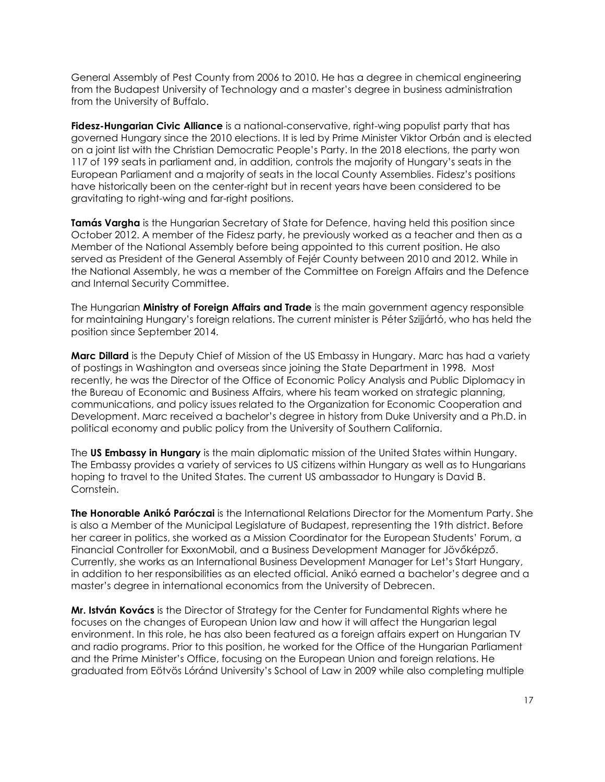General Assembly of Pest County from 2006 to 2010. He has a degree in chemical engineering from the Budapest University of Technology and a master's degree in business administration from the University of Buffalo.

**Fidesz-Hungarian Civic Alliance** is a national-conservative, right-wing populist party that has governed Hungary since the 2010 elections. It is led by Prime Minister Viktor Orbán and is elected on a joint list with the Christian Democratic People's Party. In the 2018 elections, the party won 117 of 199 seats in parliament and, in addition, controls the majority of Hungary's seats in the European Parliament and a majority of seats in the local County Assemblies. Fidesz's positions have historically been on the center-right but in recent years have been considered to be gravitating to right-wing and far-right positions.

**Tamás Vargha** is the Hungarian Secretary of State for Defence, having held this position since October 2012. A member of the Fidesz party, he previously worked as a teacher and then as a Member of the National Assembly before being appointed to this current position. He also served as President of the General Assembly of Fejér County between 2010 and 2012. While in the National Assembly, he was a member of the Committee on Foreign Affairs and the Defence and Internal Security Committee.

The Hungarian **Ministry of Foreign Affairs and Trade** is the main government agency responsible for maintaining Hungary's foreign relations. The current minister is Péter Szijjártó, who has held the position since September 2014.

**Marc Dillard** is the Deputy Chief of Mission of the US Embassy in Hungary. Marc has had a variety of postings in Washington and overseas since joining the State Department in 1998. Most recently, he was the Director of the Office of Economic Policy Analysis and Public Diplomacy in the Bureau of Economic and Business Affairs, where his team worked on strategic planning, communications, and policy issues related to the Organization for Economic Cooperation and Development. Marc received a bachelor's degree in history from Duke University and a Ph.D. in political economy and public policy from the University of Southern California.

The **US Embassy in Hungary** is the main diplomatic mission of the United States within Hungary. The Embassy provides a variety of services to US citizens within Hungary as well as to Hungarians hoping to travel to the United States. The current US ambassador to Hungary is David B. Cornstein.

**The Honorable Anikó Paróczai** is the International Relations Director for the Momentum Party. She is also a Member of the Municipal Legislature of Budapest, representing the 19th district. Before her career in politics, she worked as a Mission Coordinator for the European Students' Forum, a Financial Controller for ExxonMobil, and a Business Development Manager for Jövőképző. Currently, she works as an International Business Development Manager for Let's Start Hungary, in addition to her responsibilities as an elected official. Anikó earned a bachelor's degree and a master's degree in international economics from the University of Debrecen.

**Mr. István Kovács** is the Director of Strategy for the Center for Fundamental Rights where he focuses on the changes of European Union law and how it will affect the Hungarian legal environment. In this role, he has also been featured as a foreign affairs expert on Hungarian TV and radio programs. Prior to this position, he worked for the Office of the Hungarian Parliament and the Prime Minister's Office, focusing on the European Union and foreign relations. He graduated from Eötvös Lóránd University's School of Law in 2009 while also completing multiple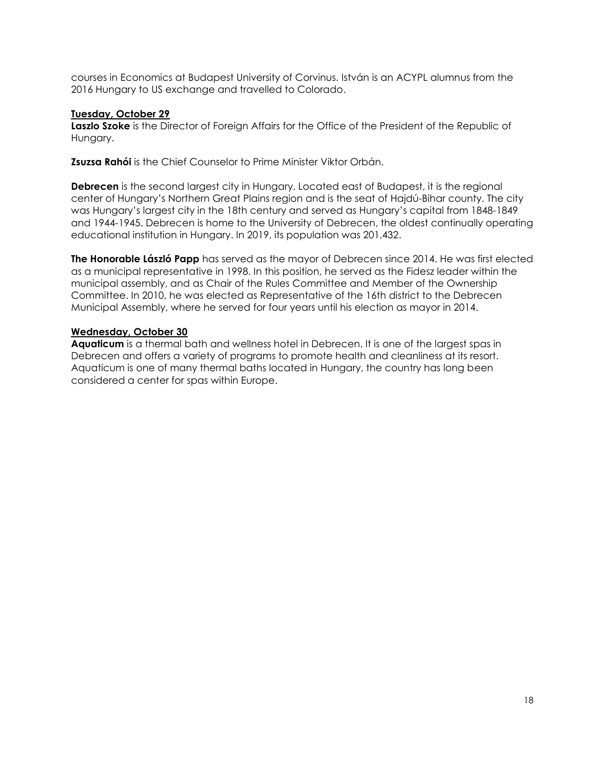courses in Economics at Budapest University of Corvinus. István is an ACYPL alumnus from the 2016 Hungary to US exchange and travelled to Colorado.

# **Tuesday, October 29**

**Laszlo Szoke** is the Director of Foreign Affairs for the Office of the President of the Republic of Hungary.

**Zsuzsa Rahói** is the Chief Counselor to Prime Minister Viktor Orbán.

**Debrecen** is the second largest city in Hungary. Located east of Budapest, it is the regional center of Hungary's Northern Great Plains region and is the seat of Hajdú-Bihar county. The city was Hungary's largest city in the 18th century and served as Hungary's capital from 1848-1849 and 1944-1945. Debrecen is home to the University of Debrecen, the oldest continually operating educational institution in Hungary. In 2019, its population was 201,432.

**The Honorable László Papp** has served as the mayor of Debrecen since 2014. He was first elected as a municipal representative in 1998. In this position, he served as the Fidesz leader within the municipal assembly, and as Chair of the Rules Committee and Member of the Ownership Committee. In 2010, he was elected as Representative of the 16th district to the Debrecen Municipal Assembly, where he served for four years until his election as mayor in 2014.

### **Wednesday, October 30**

<span id="page-17-0"></span>**Aquaticum** is a thermal bath and wellness hotel in Debrecen. It is one of the largest spas in Debrecen and offers a variety of programs to promote health and cleanliness at its resort. Aquaticum is one of many thermal baths located in Hungary, the country has long been considered a center for spas within Europe.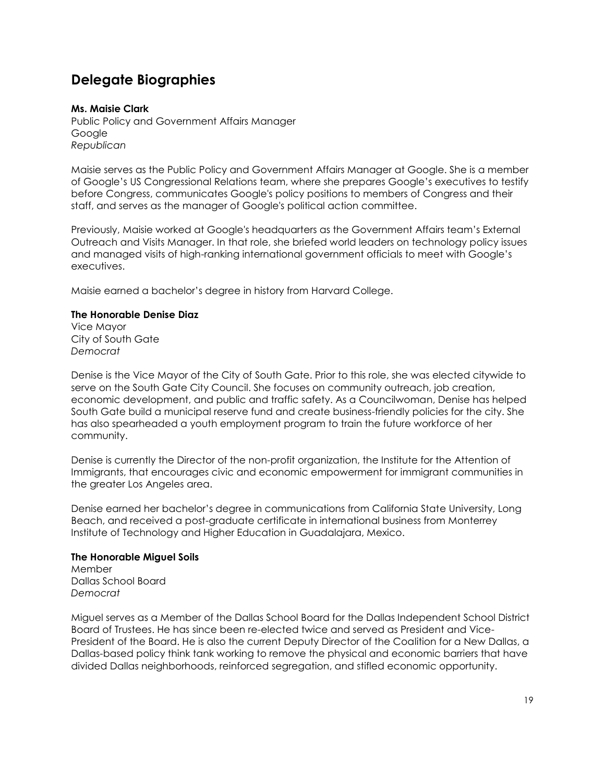# **Delegate Biographies**

# **Ms. Maisie Clark**

Public Policy and Government Affairs Manager Google *Republican* 

Maisie serves as the Public Policy and Government Affairs Manager at Google. She is a member of Google's US Congressional Relations team, where she prepares Google's executives to testify before Congress, communicates Google's policy positions to members of Congress and their staff, and serves as the manager of Google's political action committee.

Previously, Maisie worked at Google's headquarters as the Government Affairs team's External Outreach and Visits Manager. In that role, she briefed world leaders on technology policy issues and managed visits of high-ranking international government officials to meet with Google's executives.

Maisie earned a bachelor's degree in history from Harvard College.

#### **The Honorable Denise Diaz**

Vice Mayor City of South Gate *Democrat*

Denise is the Vice Mayor of the City of South Gate. Prior to this role, she was elected citywide to serve on the South Gate City Council. She focuses on community outreach, job creation, economic development, and public and traffic safety. As a Councilwoman, Denise has helped South Gate build a municipal reserve fund and create business-friendly policies for the city. She has also spearheaded a youth employment program to train the future workforce of her community.

Denise is currently the Director of the non-profit organization, the Institute for the Attention of Immigrants, that encourages civic and economic empowerment for immigrant communities in the greater Los Angeles area.

Denise earned her bachelor's degree in communications from California State University, Long Beach, and received a post-graduate certificate in international business from Monterrey Institute of Technology and Higher Education in Guadalajara, Mexico.

# **The Honorable Miguel Soils**

Member Dallas School Board *Democrat*

Miguel serves as a Member of the Dallas School Board for the Dallas Independent School District Board of Trustees. He has since been re-elected twice and served as President and Vice-President of the Board. He is also the current Deputy Director of the Coalition for a New Dallas, a Dallas-based policy think tank working to remove the physical and economic barriers that have divided Dallas neighborhoods, reinforced segregation, and stifled economic opportunity.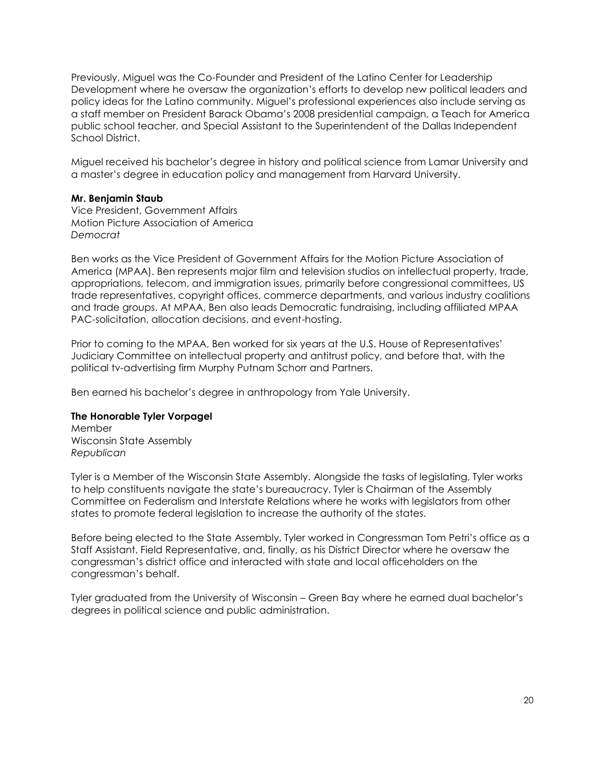Previously, Miguel was the Co-Founder and President of the Latino Center for Leadership Development where he oversaw the organization's efforts to develop new political leaders and policy ideas for the Latino community. Miguel's professional experiences also include serving as a staff member on President Barack Obama's 2008 presidential campaign, a Teach for America public school teacher, and Special Assistant to the Superintendent of the Dallas Independent School District.

Miguel received his bachelor's degree in history and political science from Lamar University and a master's degree in education policy and management from Harvard University.

#### **Mr. Benjamin Staub**

Vice President, Government Affairs Motion Picture Association of America *Democrat*

Ben works as the Vice President of Government Affairs for the Motion Picture Association of America (MPAA). Ben represents major film and television studios on intellectual property, trade, appropriations, telecom, and immigration issues, primarily before congressional committees, US trade representatives, copyright offices, commerce departments, and various industry coalitions and trade groups. At MPAA, Ben also leads Democratic fundraising, including affiliated MPAA PAC-solicitation, allocation decisions, and event-hosting.

Prior to coming to the MPAA, Ben worked for six years at the U.S. House of Representatives' Judiciary Committee on intellectual property and antitrust policy, and before that, with the political tv-advertising firm Murphy Putnam Schorr and Partners.

Ben earned his bachelor's degree in anthropology from Yale University.

#### **The Honorable Tyler Vorpagel**

Member Wisconsin State Assembly *Republican*

Tyler is a Member of the Wisconsin State Assembly. Alongside the tasks of legislating, Tyler works to help constituents navigate the state's bureaucracy. Tyler is Chairman of the Assembly Committee on Federalism and Interstate Relations where he works with legislators from other states to promote federal legislation to increase the authority of the states.

Before being elected to the State Assembly, Tyler worked in Congressman Tom Petri's office as a Staff Assistant, Field Representative, and, finally, as his District Director where he oversaw the congressman's district office and interacted with state and local officeholders on the congressman's behalf.

Tyler graduated from the University of Wisconsin – Green Bay where he earned dual bachelor's degrees in political science and public administration.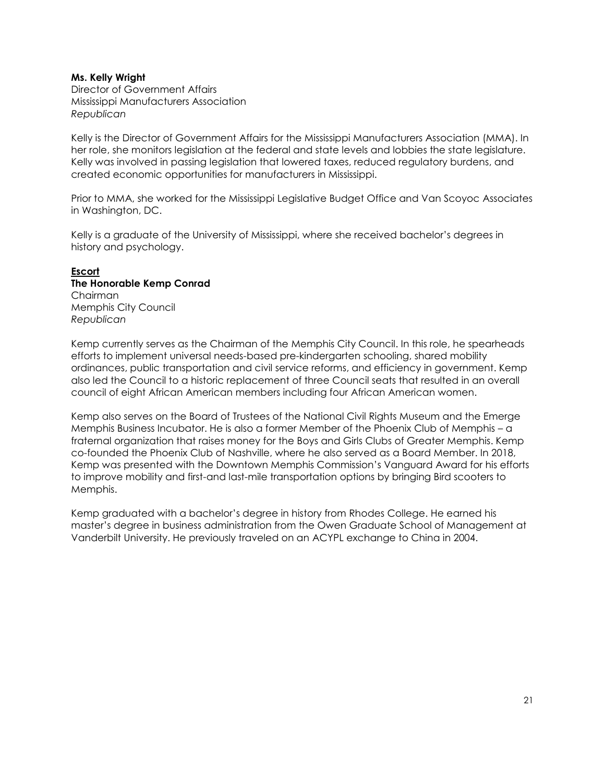#### **Ms. Kelly Wright**

Director of Government Affairs Mississippi Manufacturers Association *Republican*

Kelly is the Director of Government Affairs for the Mississippi Manufacturers Association (MMA). In her role, she monitors legislation at the federal and state levels and lobbies the state legislature. Kelly was involved in passing legislation that lowered taxes, reduced regulatory burdens, and created economic opportunities for manufacturers in Mississippi.

Prior to MMA, she worked for the Mississippi Legislative Budget Office and Van Scoyoc Associates in Washington, DC.

Kelly is a graduate of the University of Mississippi, where she received bachelor's degrees in history and psychology.

#### **Escort The Honorable Kemp Conrad** Chairman Memphis City Council

*Republican*

Kemp currently serves as the Chairman of the Memphis City Council. In this role, he spearheads efforts to implement universal needs-based pre-kindergarten schooling, shared mobility ordinances, public transportation and civil service reforms, and efficiency in government. Kemp also led the Council to a historic replacement of three Council seats that resulted in an overall council of eight African American members including four African American women.

Kemp also serves on the Board of Trustees of the National Civil Rights Museum and the Emerge Memphis Business Incubator. He is also a former Member of the Phoenix Club of Memphis – a fraternal organization that raises money for the Boys and Girls Clubs of Greater Memphis. Kemp co-founded the Phoenix Club of Nashville, where he also served as a Board Member. In 2018, Kemp was presented with the Downtown Memphis Commission's Vanguard Award for his efforts to improve mobility and first-and last-mile transportation options by bringing Bird scooters to Memphis.

Kemp graduated with a bachelor's degree in history from Rhodes College. He earned his master's degree in business administration from the Owen Graduate School of Management at Vanderbilt University. He previously traveled on an ACYPL exchange to China in 2004.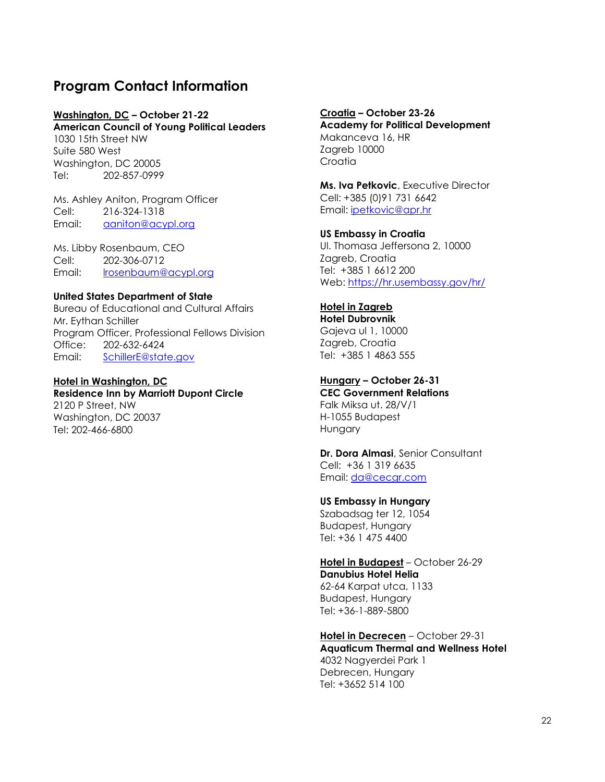# <span id="page-21-0"></span>**Program Contact Information**

# **Washington, DC – October 21-22**

**American Council of Young Political Leaders** 1030 15th Street NW Suite 580 West Washington, DC 20005 Tel: 202-857-0999

Ms. Ashley Aniton, Program Officer Cell: 216-324-1318 Email: [aaniton@acypl.org](mailto:aaniton@acypl.org)

Ms. Libby Rosenbaum, CEO Cell: 202-306-0712 Email: <u>Irosenbaum@acypl.org</u>

### **United States Department of State**

Bureau of Educational and Cultural Affairs Mr. Eythan Schiller Program Officer, Professional Fellows Division Office: 202-632-6424 Email: [SchillerE@state.gov](mailto:SchillerE@state.gov)

#### **Hotel in Washington, DC Residence Inn by Marriott Dupont Circle** 2120 P Street, NW Washington, DC 20037 Tel: 202-466-6800

**Croatia – October 23-26 Academy for Political Development**  Makanceva 16, HR Zagreb 10000 **Croatia** 

**Ms. Iva Petkovic**, Executive Director Cell: +385 (0)91 731 6642 Email: [ipetkovic@apr.hr](mailto:ipetkovic@apr.hr)

**US Embassy in Croatia**  Ul. Thomasa Jeffersona 2, 10000 Zagreb, Croatia Tel: +385 1 6612 200 Web:<https://hr.usembassy.gov/hr/>

# **Hotel in Zagreb**

**Hotel Dubrovnik**  Gajeva ul 1, 10000 Zagreb, Croatia Tel: +385 1 4863 555

# **Hungary – October 26-31**

**CEC Government Relations**  Falk Miksa ut. 28/V/1 H-1055 Budapest Hungary

**Dr. Dora Almasi**, Senior Consultant Cell: +36 1 319 6635 Email: [da@cecgr.com](mailto:da@cecgr.com)

### **US Embassy in Hungary**

Szabadsag ter 12, 1054 Budapest, Hungary Tel: +36 1 475 4400

**Hotel in Budapest** – October 26-29 **Danubius Hotel Helia**

62-64 Karpat utca, 1133 Budapest, Hungary Tel: +36-1-889-5800

# **Hotel in Decrecen** – October 29-31

**Aquaticum Thermal and Wellness Hotel** 4032 Nagyerdei Park 1 Debrecen, Hungary Tel: +3652 514 100